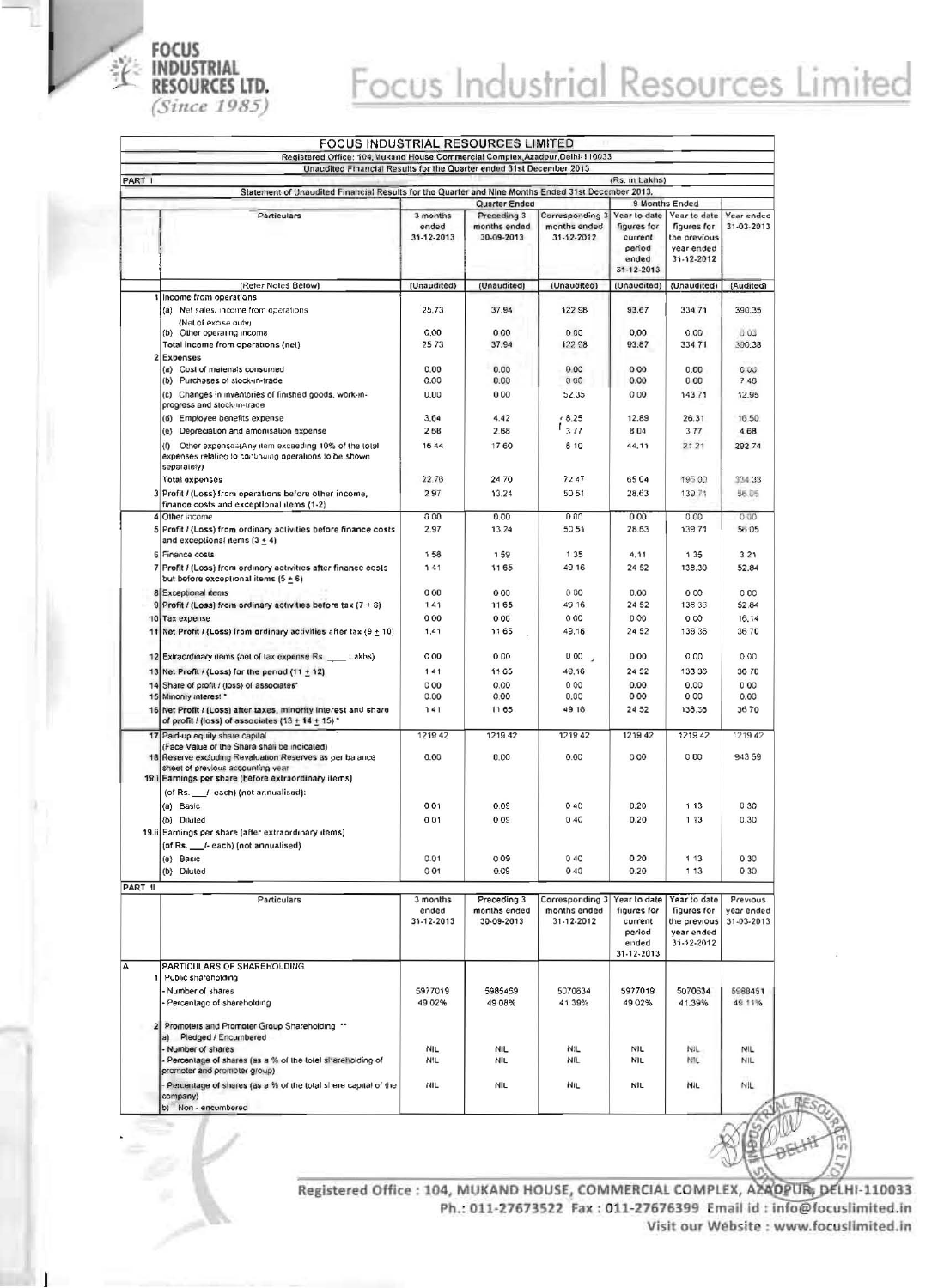

## Focus Industrial Resources Limited

|         | Unaudited Financial Results for the Quarter ended 31st December 2013                                                                                      |                                 |                                           |                                               |                                                                               |                                                                         |                                      |
|---------|-----------------------------------------------------------------------------------------------------------------------------------------------------------|---------------------------------|-------------------------------------------|-----------------------------------------------|-------------------------------------------------------------------------------|-------------------------------------------------------------------------|--------------------------------------|
| PART I  |                                                                                                                                                           |                                 |                                           |                                               | (Rs. in Lakhs)                                                                |                                                                         |                                      |
|         | Statement of Unaudited Financial Results for the Quarter and Nine Months Ended 31st December 2013.                                                        |                                 |                                           |                                               |                                                                               |                                                                         |                                      |
|         |                                                                                                                                                           |                                 | Quarter Ended                             |                                               |                                                                               | 9 Months Ended                                                          |                                      |
|         | Particulars                                                                                                                                               | 3 months<br>ended<br>31-12-2013 | Preceding 3<br>months ended<br>30-09-2013 | Corresponding 3<br>months ended<br>31-12-2012 | Year to date<br>figures for<br>current<br>period<br>ended<br>$31 - 12 - 2013$ | Year to date<br>figures for<br>the previous<br>year ended<br>31-12-2012 | Year ended<br>31-03-2013             |
|         | (Refer Notes Below)                                                                                                                                       | (Unaudited)                     | (Unaudited)                               | (Unaudited)                                   | (Unaudited)                                                                   | (Unaudited)                                                             | (Audited)                            |
|         | Income from operations<br>(a) Net sales/ income from operations<br>(Net of excise outy)                                                                   | 25,73                           | 37.94                                     | 122 98                                        | 93.67                                                                         | 33471                                                                   | 390.35                               |
|         | (b) Other operating income                                                                                                                                | 0,00                            | 000                                       | 000                                           | 0,00                                                                          | 0.00                                                                    | 0.03                                 |
|         | Total income from operations (net)                                                                                                                        | 25 73                           | 37.94                                     | 122 98                                        | 93.67                                                                         | 334 71                                                                  | 390.38                               |
|         | 2 Expenses<br>(a) Cost of matenals consumed                                                                                                               | 0.00                            | 0.00                                      | 0.00                                          | 000                                                                           | 0.00                                                                    | 0.00                                 |
|         | (b) Purchases of stock-in-trade                                                                                                                           | 0.00                            | 0.00                                      | 000                                           | 0.00                                                                          | 000                                                                     | 7 4 6                                |
|         | (c) Changes in inventories of finished goods, work-in-<br>progress and stock-in-trade                                                                     | 0.00                            | 000                                       | 52.35                                         | 000                                                                           | 14371                                                                   | 12.95                                |
|         | (d) Employee benefits expense                                                                                                                             | 3.64                            | 4.42                                      | 48.25                                         | 12.89                                                                         | 26.31                                                                   | 16 50                                |
|         | (e) Depreciation and amonisation expense                                                                                                                  | 268                             | 2.68                                      | 1377                                          | 804                                                                           | 3.77                                                                    | 468                                  |
|         | Other expenses(Any item exceeding 10% of the total<br>(0)<br>expenses relating to continuing operations to be shown.<br>separately)                       | 16 44                           | 1760                                      | 8 10                                          | 44.11                                                                         | 2121                                                                    | 292 74                               |
|         | Total expenses                                                                                                                                            | 22.76                           | 2470                                      | 7247                                          | 6504                                                                          | 195 00                                                                  | 334.33                               |
|         | 3 Profit / (Loss) from operations before other income,<br>finance costs and exceptional items (1-2)                                                       | 297                             | 13.24                                     | 50 51                                         | 28.63                                                                         | 139 71                                                                  | 56.05                                |
|         | 4 Other income                                                                                                                                            | 000<br>2.97                     | 0.00<br>13.24                             | 000<br>5051                                   | 000<br>28.63                                                                  | 0.00<br>13971                                                           | 0.00<br>5605                         |
|         | 5 Profit / (Loss) from ordinary activities before finance costs<br>and exceptional items $(3 + 4)$<br>6 Finance costs                                     | 158                             | 159                                       | 135                                           | 4.11                                                                          | 1 3 5                                                                   | 321                                  |
|         | 7 Profit / (Loss) from ordinary activities after finance costs<br>but before exceptional items $(5 + 6)$                                                  | 141                             | 1165                                      | 49 16                                         | 24 52                                                                         | 138.30                                                                  | 52.84                                |
|         | 8 Exceptional items                                                                                                                                       | 000                             | 000                                       | 000                                           | 0.00                                                                          | 000                                                                     | 000                                  |
|         | 9 Profit / (Loss) from ordinary activities before tax (7 + 8)                                                                                             | 141                             | 1165                                      | 49 16                                         | 24 52                                                                         | 138 36                                                                  | 52.84                                |
|         | 10 Tax expense                                                                                                                                            | 000                             | 000                                       | 000                                           | 000                                                                           | 000                                                                     | 16.14                                |
|         | 11 Net Profit / (Loss) from ordinary activities after tax $(9 \pm 10)$                                                                                    | 1.41                            | 1165                                      | 49.16                                         | 24 52                                                                         | 138 36                                                                  | 3670                                 |
|         | 12 Extraordinary items (net of tax expense Rs _____ Lakhs)                                                                                                | 000                             | 0.00                                      | 000                                           | 000                                                                           | 0.00                                                                    | 000                                  |
|         | 13 Net Profit / (Loss) for the period $(11 + 12)$                                                                                                         | 141                             | 1165                                      | 49.16                                         | 24 52                                                                         | 138 36                                                                  | 36 70                                |
| 14      | Share of profil / (loss) of associates'                                                                                                                   | 000                             | 0.00                                      | 000                                           | 0.00                                                                          | 0.00                                                                    | 000                                  |
|         | 15 Minority interest *                                                                                                                                    | 0.00                            | 0.00<br>1165                              | 0.00<br>49 16                                 | 000<br>24 52                                                                  | 0.00<br>138.36                                                          | 0.00<br>3670                         |
|         | 16 Net Profit / (Loss) after taxes, minority interest and share<br>of profit / (loss) of associates $(13 + 14 + 15)$ *<br>17 Paid-up equity share capital | 141<br>1219 42                  | 1219.42                                   | 1219 42                                       | 1219 42                                                                       | 121942                                                                  | 121942                               |
|         | (Face Value of the Shara shall be indicated)                                                                                                              |                                 |                                           |                                               |                                                                               |                                                                         |                                      |
|         | 18 Reserve excluding Revaluation Reserves as per balance<br>sheet of previous accounting year<br>19. Earnings per share (before extraordinary items)      | 0.00                            | 0.00                                      | 0.00                                          | 000                                                                           | 000                                                                     | 943 59                               |
|         | (of Rs. /-each) (not annualised):                                                                                                                         |                                 |                                           |                                               |                                                                               |                                                                         |                                      |
|         | (a) Basic                                                                                                                                                 | 001                             | 0.09                                      | 040                                           | 0.20                                                                          | 1 13                                                                    | 030                                  |
|         | (b) Diluted                                                                                                                                               | 0 0 1                           | 0.09                                      | 0.40                                          | 0.20                                                                          | 1 13                                                                    | 0.30                                 |
|         | 19.ii Earnings per share (after extraordinary items)                                                                                                      |                                 |                                           |                                               |                                                                               |                                                                         |                                      |
|         | (of Rs. /- each) (not annualised)                                                                                                                         |                                 |                                           |                                               |                                                                               |                                                                         |                                      |
|         | (e) Basic                                                                                                                                                 | 0.01                            | 009                                       | 040                                           | 020                                                                           | 1 1 3                                                                   | 0 30                                 |
|         | (b) Diluted                                                                                                                                               | 001                             | 0.09                                      | 040                                           | 0.20                                                                          | 1 13                                                                    | 0 30                                 |
| PART II |                                                                                                                                                           |                                 |                                           | Corresponding 3                               |                                                                               |                                                                         |                                      |
|         | Particulars                                                                                                                                               | 3 months<br>ended<br>31-12-2013 | Preceding 3<br>months ended<br>30-09-2013 | months ended<br>31-12-2012                    | Year to date<br>figures for<br>current<br>period<br>ended<br>31-12-2013       | Year to date<br>figures for<br>the previous<br>year ended<br>31-12-2012 | Previous<br>year ended<br>31-03-2013 |
|         | PARTICULARS OF SHAREHOLDING                                                                                                                               |                                 |                                           |                                               |                                                                               |                                                                         |                                      |
| 11      | Public shareholding                                                                                                                                       |                                 |                                           |                                               |                                                                               |                                                                         |                                      |
|         | Number of shares<br>Percentago of shareholding                                                                                                            | 5977019<br>49 02%               | 5985469<br>49 08%                         | 5070634<br>41 39%                             | 5977019<br>49 02%                                                             | 5070634<br>41.39%                                                       | 5988451<br>49 11%                    |
|         | Promoters and Promoter Group Shareholding **<br>a) Pledged / Encumbered                                                                                   |                                 |                                           |                                               |                                                                               |                                                                         |                                      |
|         | Number of shares<br>- Percentage of shares (as a % of the totel shareholding of<br>promoter and promoter group)                                           | NIL<br><b>NIL</b>               | NIL<br>NIL                                | N <sub>1</sub> L<br>NIL                       | NIL<br><b>NIL</b>                                                             | NIL<br>NIL.                                                             | NIL<br>NIL.                          |
|         | Percentage of shares (as a % of the total shere capital of the<br>company)                                                                                | <b>NIL</b>                      | NIL                                       | <b>NIL</b>                                    | NIL                                                                           | <b>NIL</b>                                                              | <b>NIL</b>                           |

Registered Office : 104, MUKAND HOUSE, COMMERCIAL COMPLEX, AZAOPUR, DELHI-110033 Ph.: 011-27673522 Fax: 011-27676399 Email id: info@focuslimited.in Visit our Website : www.focuslimited.in